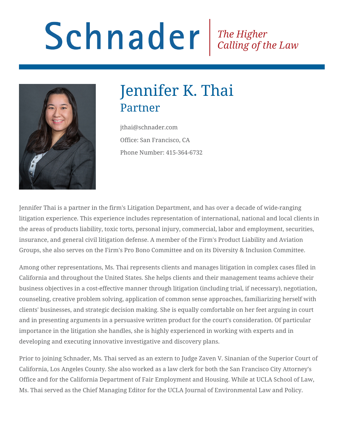# Schnader Fine Higher Calling of the Law



## Jennifer K. Thai Partner

jthai@schnader.com Office: San Francisco, CA Phone Number: 415-364-6732

Jennifer Thai is a partner in the firm's Litigation Department, and has over a decade of wide-ranging litigation experience. This experience includes representation of international, national and local clients in the areas of products liability, toxic torts, personal injury, commercial, labor and employment, securities, insurance, and general civil litigation defense. A member of the Firm's Product Liability and Aviation Groups, she also serves on the Firm's Pro Bono Committee and on its Diversity & Inclusion Committee.

Among other representations, Ms. Thai represents clients and manages litigation in complex cases filed in California and throughout the United States. She helps clients and their management teams achieve their business objectives in a cost-effective manner through litigation (including trial, if necessary), negotiation, counseling, creative problem solving, application of common sense approaches, familiarizing herself with clients' businesses, and strategic decision making. She is equally comfortable on her feet arguing in court and in presenting arguments in a persuasive written product for the court's consideration. Of particular importance in the litigation she handles, she is highly experienced in working with experts and in developing and executing innovative investigative and discovery plans.

Prior to joining Schnader, Ms. Thai served as an extern to Judge Zaven V. Sinanian of the Superior Court of California, Los Angeles County. She also worked as a law clerk for both the San Francisco City Attorney's Office and for the California Department of Fair Employment and Housing. While at UCLA School of Law, Ms. Thai served as the Chief Managing Editor for the UCLA Journal of Environmental Law and Policy.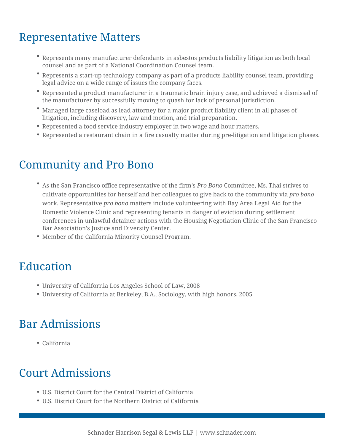## Representative Matters

- Represents many manufacturer defendants in asbestos products liability litigation as both local counsel and as part of a National Coordination Counsel team.
- $\bullet$  Represents a start-up technology company as part of a products liability counsel team, providing legal advice on a wide range of issues the company faces.
- Represented a product manufacturer in a traumatic brain injury case, and achieved a dismissal of the manufacturer by successfully moving to quash for lack of personal jurisdiction.
- Managed large caseload as lead attorney for a major product liability client in all phases of litigation, including discovery, law and motion, and trial preparation.
- Represented a food service industry employer in two wage and hour matters.
- Represented a restaurant chain in a fire casualty matter during pre-litigation and litigation phases.

#### Community and Pro Bono

- As the San Francisco office representative of the firm's *Pro Bono* Committee, Ms. Thai strives to cultivate opportunities for herself and her colleagues to give back to the community via *pro bono* work. Representative *pro bono* matters include volunteering with Bay Area Legal Aid for the Domestic Violence Clinic and representing tenants in danger of eviction during settlement conferences in unlawful detainer actions with the Housing Negotiation Clinic of the San Francisco Bar Association's Justice and Diversity Center.
- Member of the California Minority Counsel Program.

#### Education

- University of California Los Angeles School of Law, 2008
- University of California at Berkeley, B.A., Sociology, with high honors, 2005

#### Bar Admissions

California

#### Court Admissions

- U.S. District Court for the Central District of California
- U.S. District Court for the Northern District of California